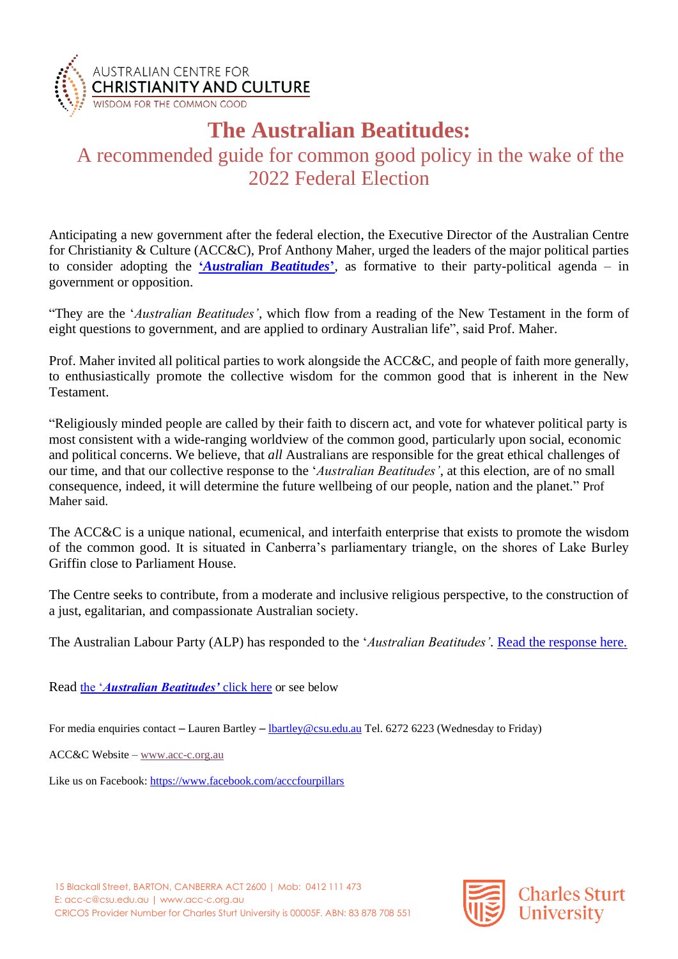

## **The Australian Beatitudes:**

## A recommended guide for common good policy in the wake of the 2022 Federal Election

Anticipating a new government after the federal election, the Executive Director of the Australian Centre for Christianity & Culture (ACC&C), Prof Anthony Maher, urged the leaders of the major political parties to consider adopting the **'***[Australian Beatitudes](https://cdn.csu.edu.au/__data/assets/pdf_file/0006/4014168/Australian-Beatitudes-P-Minister.pdf)***'**, as formative to their party-political agenda – in government or opposition.

"They are the '*Australian Beatitudes'*, which flow from a reading of the New Testament in the form of eight questions to government, and are applied to ordinary Australian life", said Prof. Maher.

Prof. Maher invited all political parties to work alongside the ACC&C, and people of faith more generally, to enthusiastically promote the collective wisdom for the common good that is inherent in the New Testament.

"Religiously minded people are called by their faith to discern act, and vote for whatever political party is most consistent with a wide-ranging worldview of the common good, particularly upon social, economic and political concerns. We believe, that *all* Australians are responsible for the great ethical challenges of our time, and that our collective response to the '*Australian Beatitudes'*, at this election, are of no small consequence, indeed, it will determine the future wellbeing of our people, nation and the planet." Prof Maher said.

The ACC&C is a unique national, ecumenical, and interfaith enterprise that exists to promote the wisdom of the common good. It is situated in Canberra's parliamentary triangle, on the shores of Lake Burley Griffin close to Parliament House.

The Centre seeks to contribute, from a moderate and inclusive religious perspective, to the construction of a just, egalitarian, and compassionate Australian society.

The Australian Labour Party (ALP) has responded to the '*Australian Beatitudes'.* [Read the response here.](https://cdn.csu.edu.au/__data/assets/pdf_file/0009/4014675/Labor-Response-to-Australian-Beatitudes.pdf)

Read the '*[Australian Beatitudes'](https://cdn.csu.edu.au/__data/assets/pdf_file/0006/4014168/Australian-Beatitudes-P-Minister.pdf)* click here or see below

For media enquiries contact – Lauren Bartley – [lbartley@csu.edu.au](mailto:lbartley@csu.edu.au) Tel. 6272 6223 (Wednesday to Friday)

ACC&C Website – [www.acc-c.org.au](http://www.acc-c.org.au/)

Like us on Facebook:<https://www.facebook.com/acccfourpillars>

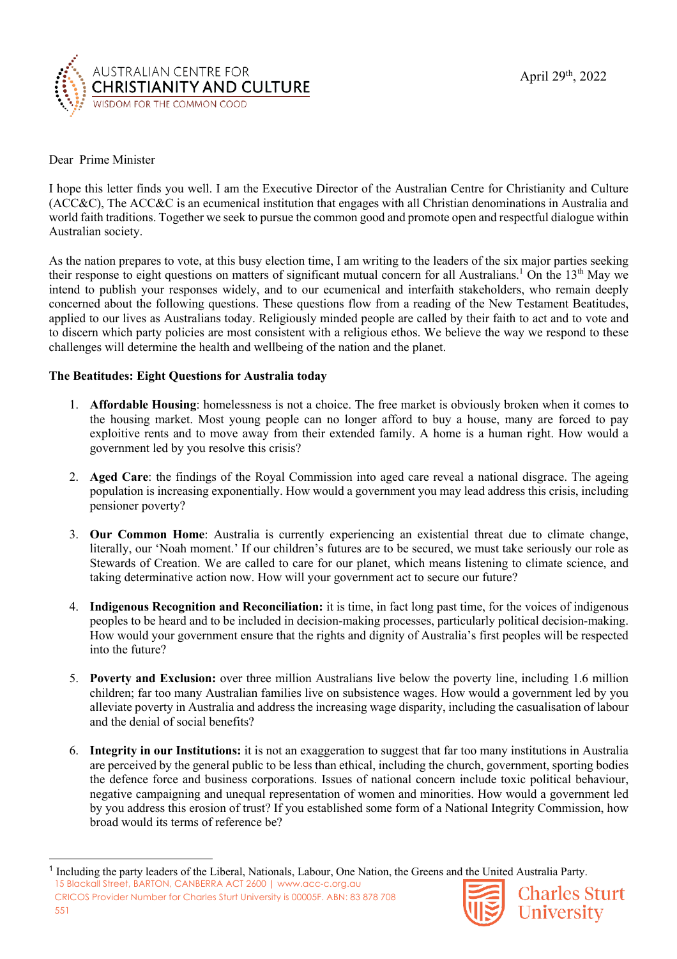

## Dear Prime Minister

I hope this letter finds you well. I am the Executive Director of the Australian Centre for Christianity and Culture (ACC&C), The ACC&C is an ecumenical institution that engages with all Christian denominations in Australia and world faith traditions. Together we seek to pursue the common good and promote open and respectful dialogue within Australian society.

As the nation prepares to vote, at this busy election time, I am writing to the leaders of the six major parties seeking their response to eight questions on matters of significant mutual concern for all Australians.<sup>1</sup> On the 13<sup>th</sup> May we intend to publish your responses widely, and to our ecumenical and interfaith stakeholders, who remain deeply concerned about the following questions. These questions flow from a reading of the New Testament Beatitudes, applied to our lives as Australians today. Religiously minded people are called by their faith to act and to vote and to discern which party policies are most consistent with a religious ethos. We believe the way we respond to these challenges will determine the health and wellbeing of the nation and the planet.

## **The Beatitudes: Eight Questions for Australia today**

- 1. **Affordable Housing**: homelessness is not a choice. The free market is obviously broken when it comes to the housing market. Most young people can no longer afford to buy a house, many are forced to pay exploitive rents and to move away from their extended family. A home is a human right. How would a government led by you resolve this crisis?
- 2. **Aged Care**: the findings of the Royal Commission into aged care reveal a national disgrace. The ageing population is increasing exponentially. How would a government you may lead address this crisis, including pensioner poverty?
- 3. **Our Common Home**: Australia is currently experiencing an existential threat due to climate change, literally, our 'Noah moment.' If our children's futures are to be secured, we must take seriously our role as Stewards of Creation. We are called to care for our planet, which means listening to climate science, and taking determinative action now. How will your government act to secure our future?
- 4. **Indigenous Recognition and Reconciliation:** it is time, in fact long past time, for the voices of indigenous peoples to be heard and to be included in decision-making processes, particularly political decision-making. How would your government ensure that the rights and dignity of Australia's first peoples will be respected into the future?
- 5. **Poverty and Exclusion:** over three million Australians live below the poverty line, including 1.6 million children; far too many Australian families live on subsistence wages. How would a government led by you alleviate poverty in Australia and address the increasing wage disparity, including the casualisation of labour and the denial of social benefits?
- 6. **Integrity in our Institutions:** it is not an exaggeration to suggest that far too many institutions in Australia are perceived by the general public to be less than ethical, including the church, government, sporting bodies the defence force and business corporations. Issues of national concern include toxic political behaviour, negative campaigning and unequal representation of women and minorities. How would a government led by you address this erosion of trust? If you established some form of a National Integrity Commission, how broad would its terms of reference be?

15 Blackall Street, BARTON, CANBERRA ACT 2600 | www.acc-c.org.au CRICOS Provider Number for Charles Sturt University is 00005F. ABN: 83 878 708 551



**Charles Sturt** University

<sup>&</sup>lt;sup>1</sup> Including the party leaders of the Liberal, Nationals, Labour, One Nation, the Greens and the United Australia Party.